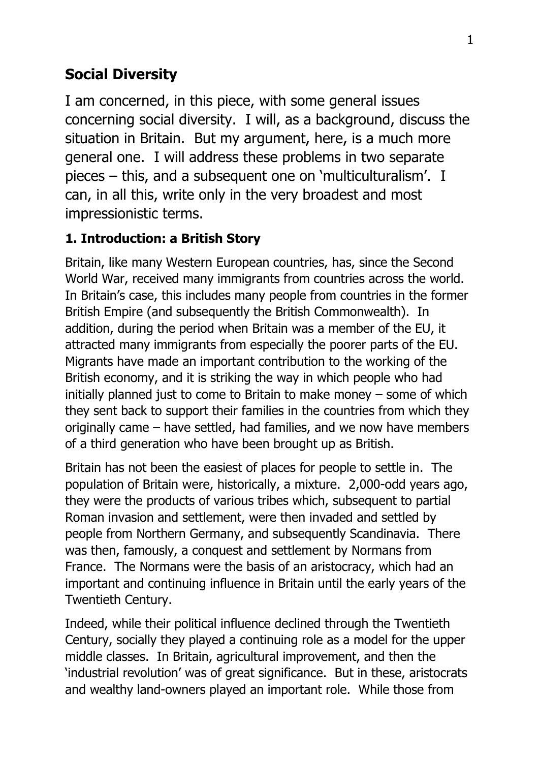# **Social Diversity**

I am concerned, in this piece, with some general issues concerning social diversity. I will, as a background, discuss the situation in Britain. But my argument, here, is a much more general one. I will address these problems in two separate pieces – this, and a subsequent one on 'multiculturalism'. I can, in all this, write only in the very broadest and most impressionistic terms.

### **1. Introduction: a British Story**

Britain, like many Western European countries, has, since the Second World War, received many immigrants from countries across the world. In Britain's case, this includes many people from countries in the former British Empire (and subsequently the British Commonwealth). In addition, during the period when Britain was a member of the EU, it attracted many immigrants from especially the poorer parts of the EU. Migrants have made an important contribution to the working of the British economy, and it is striking the way in which people who had initially planned just to come to Britain to make money – some of which they sent back to support their families in the countries from which they originally came – have settled, had families, and we now have members of a third generation who have been brought up as British.

Britain has not been the easiest of places for people to settle in. The population of Britain were, historically, a mixture. 2,000-odd years ago, they were the products of various tribes which, subsequent to partial Roman invasion and settlement, were then invaded and settled by people from Northern Germany, and subsequently Scandinavia. There was then, famously, a conquest and settlement by Normans from France. The Normans were the basis of an aristocracy, which had an important and continuing influence in Britain until the early years of the Twentieth Century.

Indeed, while their political influence declined through the Twentieth Century, socially they played a continuing role as a model for the upper middle classes. In Britain, agricultural improvement, and then the 'industrial revolution' was of great significance. But in these, aristocrats and wealthy land-owners played an important role. While those from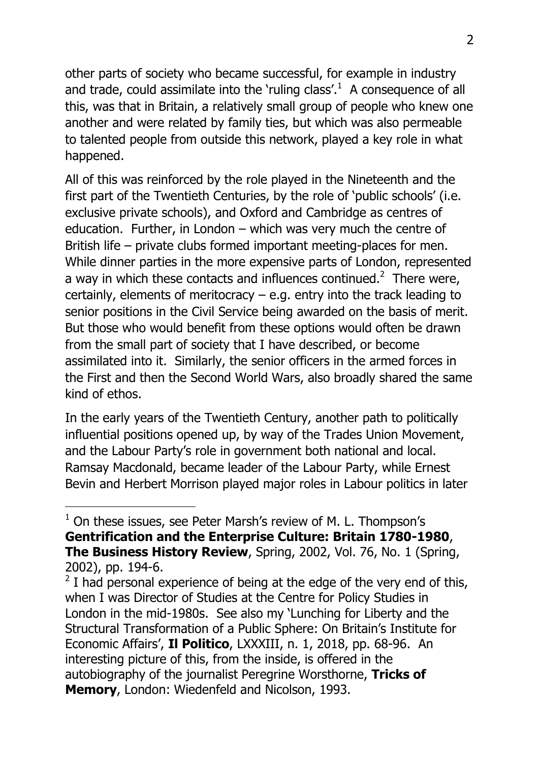other parts of society who became successful, for example in industry and trade, could assimilate into the 'ruling class'. $1$  A consequence of all this, was that in Britain, a relatively small group of people who knew one another and were related by family ties, but which was also permeable to talented people from outside this network, played a key role in what happened.

All of this was reinforced by the role played in the Nineteenth and the first part of the Twentieth Centuries, by the role of 'public schools' (i.e. exclusive private schools), and Oxford and Cambridge as centres of education. Further, in London – which was very much the centre of British life – private clubs formed important meeting-places for men. While dinner parties in the more expensive parts of London, represented a way in which these contacts and influences continued.<sup>2</sup> There were, certainly, elements of meritocracy – e.g. entry into the track leading to senior positions in the Civil Service being awarded on the basis of merit. But those who would benefit from these options would often be drawn from the small part of society that I have described, or become assimilated into it. Similarly, the senior officers in the armed forces in the First and then the Second World Wars, also broadly shared the same kind of ethos.

In the early years of the Twentieth Century, another path to politically influential positions opened up, by way of the Trades Union Movement, and the Labour Party's role in government both national and local. Ramsay Macdonald, became leader of the Labour Party, while Ernest Bevin and Herbert Morrison played major roles in Labour politics in later

 $1$  On these issues, see Peter Marsh's review of M. L. Thompson's **Gentrification and the Enterprise Culture: Britain 1780-1980**, **The Business History Review**, Spring, 2002, Vol. 76, No. 1 (Spring, 2002), pp. 194-6.

 $2$  I had personal experience of being at the edge of the very end of this, when I was Director of Studies at the Centre for Policy Studies in London in the mid-1980s. See also my 'Lunching for Liberty and the Structural Transformation of a Public Sphere: On Britain's Institute for Economic Affairs', **Il Politico**, LXXXIII, n. 1, 2018, pp. 68-96. An interesting picture of this, from the inside, is offered in the autobiography of the journalist Peregrine Worsthorne, **Tricks of Memory**, London: Wiedenfeld and Nicolson, 1993.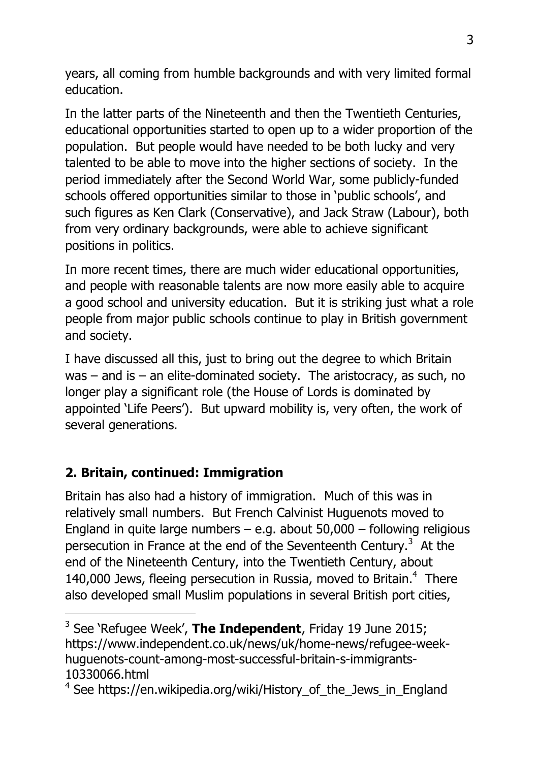years, all coming from humble backgrounds and with very limited formal education.

In the latter parts of the Nineteenth and then the Twentieth Centuries, educational opportunities started to open up to a wider proportion of the population. But people would have needed to be both lucky and very talented to be able to move into the higher sections of society. In the period immediately after the Second World War, some publicly-funded schools offered opportunities similar to those in 'public schools', and such figures as Ken Clark (Conservative), and Jack Straw (Labour), both from very ordinary backgrounds, were able to achieve significant positions in politics.

In more recent times, there are much wider educational opportunities, and people with reasonable talents are now more easily able to acquire a good school and university education. But it is striking just what a role people from major public schools continue to play in British government and society.

I have discussed all this, just to bring out the degree to which Britain was – and is – an elite-dominated society. The aristocracy, as such, no longer play a significant role (the House of Lords is dominated by appointed 'Life Peers'). But upward mobility is, very often, the work of several generations.

#### **2. Britain, continued: Immigration**

-

Britain has also had a history of immigration. Much of this was in relatively small numbers. But French Calvinist Huguenots moved to England in quite large numbers – e.g. about  $50,000$  – following religious persecution in France at the end of the Seventeenth Century.<sup>3</sup> At the end of the Nineteenth Century, into the Twentieth Century, about 140,000 Jews, fleeing persecution in Russia, moved to Britain. $4$  There also developed small Muslim populations in several British port cities,

<sup>3</sup> See 'Refugee Week', **The Independent**, Friday 19 June 2015; https://www.independent.co.uk/news/uk/home-news/refugee-weekhuguenots-count-among-most-successful-britain-s-immigrants-10330066.html

<sup>&</sup>lt;sup>4</sup> See https://en.wikipedia.org/wiki/History\_of\_the\_Jews\_in\_England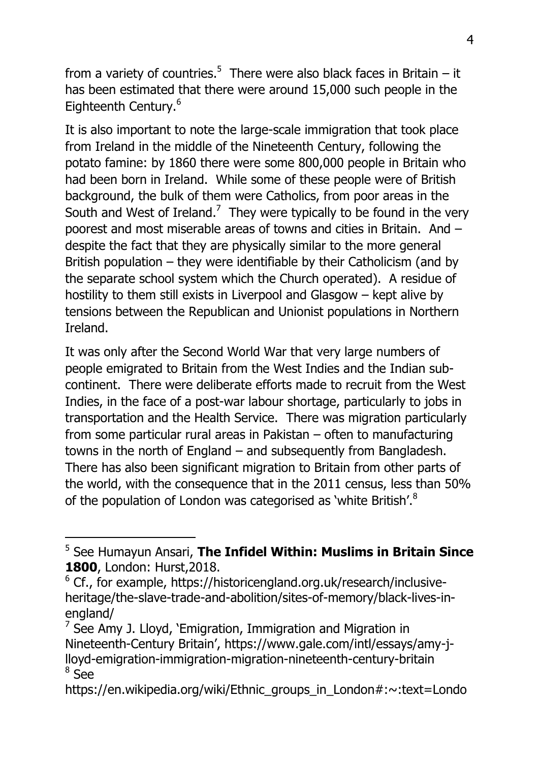from a variety of countries.<sup>5</sup> There were also black faces in Britain – it has been estimated that there were around 15,000 such people in the Eighteenth Century.<sup>6</sup>

It is also important to note the large-scale immigration that took place from Ireland in the middle of the Nineteenth Century, following the potato famine: by 1860 there were some 800,000 people in Britain who had been born in Ireland. While some of these people were of British background, the bulk of them were Catholics, from poor areas in the South and West of Ireland.<sup>7</sup> They were typically to be found in the very poorest and most miserable areas of towns and cities in Britain. And – despite the fact that they are physically similar to the more general British population – they were identifiable by their Catholicism (and by the separate school system which the Church operated). A residue of hostility to them still exists in Liverpool and Glasgow – kept alive by tensions between the Republican and Unionist populations in Northern Ireland.

It was only after the Second World War that very large numbers of people emigrated to Britain from the West Indies and the Indian subcontinent. There were deliberate efforts made to recruit from the West Indies, in the face of a post-war labour shortage, particularly to jobs in transportation and the Health Service. There was migration particularly from some particular rural areas in Pakistan – often to manufacturing towns in the north of England – and subsequently from Bangladesh. There has also been significant migration to Britain from other parts of the world, with the consequence that in the 2011 census, less than 50% of the population of London was categorised as 'white British'.<sup>8</sup>

<sup>5</sup> See Humayun Ansari, **The Infidel Within: Muslims in Britain Since 1800**, London: Hurst,2018.

<sup>&</sup>lt;sup>6</sup> Cf., for example, https://historicengland.org.uk/research/inclusiveheritage/the-slave-trade-and-abolition/sites-of-memory/black-lives-inengland/

 $<sup>7</sup>$  See Amy J. Lloyd, 'Emigration, Immigration and Migration in</sup> Nineteenth-Century Britain', https://www.gale.com/intl/essays/amy-jlloyd-emigration-immigration-migration-nineteenth-century-britain 8 See

https://en.wikipedia.org/wiki/Ethnic\_groups\_in\_London#:~:text=Londo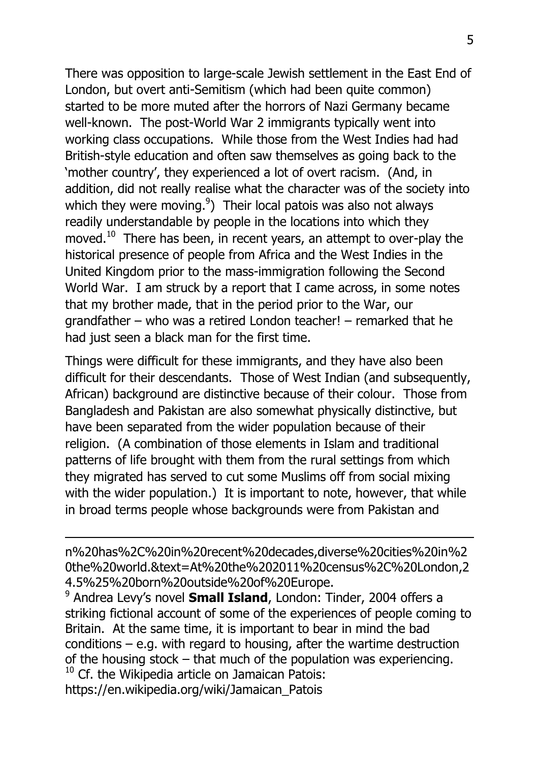There was opposition to large-scale Jewish settlement in the East End of London, but overt anti-Semitism (which had been quite common) started to be more muted after the horrors of Nazi Germany became well-known. The post-World War 2 immigrants typically went into working class occupations. While those from the West Indies had had British-style education and often saw themselves as going back to the 'mother country', they experienced a lot of overt racism. (And, in addition, did not really realise what the character was of the society into which they were moving. $9$ ) Their local patois was also not always readily understandable by people in the locations into which they moved. $10$  There has been, in recent years, an attempt to over-play the historical presence of people from Africa and the West Indies in the United Kingdom prior to the mass-immigration following the Second World War. I am struck by a report that I came across, in some notes that my brother made, that in the period prior to the War, our grandfather – who was a retired London teacher! – remarked that he had just seen a black man for the first time.

Things were difficult for these immigrants, and they have also been difficult for their descendants. Those of West Indian (and subsequently, African) background are distinctive because of their colour. Those from Bangladesh and Pakistan are also somewhat physically distinctive, but have been separated from the wider population because of their religion. (A combination of those elements in Islam and traditional patterns of life brought with them from the rural settings from which they migrated has served to cut some Muslims off from social mixing with the wider population.) It is important to note, however, that while in broad terms people whose backgrounds were from Pakistan and

n%20has%2C%20in%20recent%20decades,diverse%20cities%20in%2 0the%20world.&text=At%20the%202011%20census%2C%20London,2 4.5%25%20born%20outside%20of%20Europe.

-

9 Andrea Levy's novel **Small Island**, London: Tinder, 2004 offers a striking fictional account of some of the experiences of people coming to Britain. At the same time, it is important to bear in mind the bad conditions  $-$  e.g. with regard to housing, after the wartime destruction of the housing stock – that much of the population was experiencing.  $10$  Cf. the Wikipedia article on Jamaican Patois: https://en.wikipedia.org/wiki/Jamaican\_Patois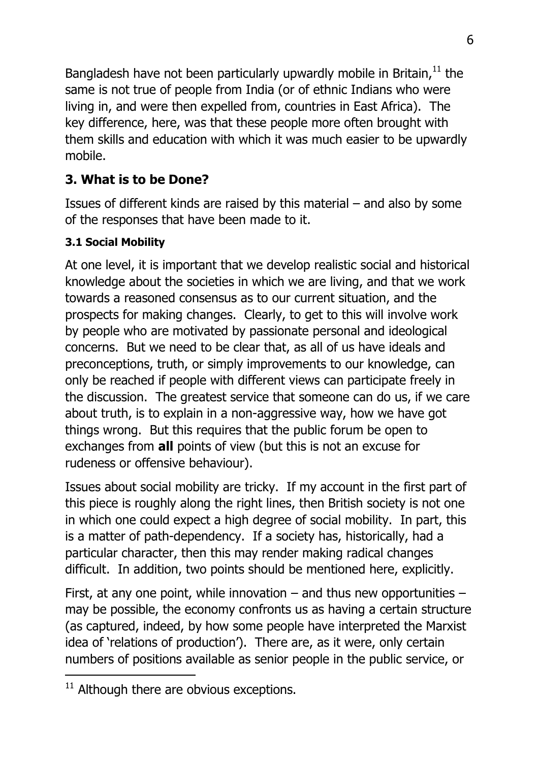Bangladesh have not been particularly upwardly mobile in Britain, $11$  the same is not true of people from India (or of ethnic Indians who were living in, and were then expelled from, countries in East Africa). The key difference, here, was that these people more often brought with them skills and education with which it was much easier to be upwardly mobile.

# **3. What is to be Done?**

Issues of different kinds are raised by this material – and also by some of the responses that have been made to it.

#### **3.1 Social Mobility**

At one level, it is important that we develop realistic social and historical knowledge about the societies in which we are living, and that we work towards a reasoned consensus as to our current situation, and the prospects for making changes. Clearly, to get to this will involve work by people who are motivated by passionate personal and ideological concerns. But we need to be clear that, as all of us have ideals and preconceptions, truth, or simply improvements to our knowledge, can only be reached if people with different views can participate freely in the discussion. The greatest service that someone can do us, if we care about truth, is to explain in a non-aggressive way, how we have got things wrong. But this requires that the public forum be open to exchanges from **all** points of view (but this is not an excuse for rudeness or offensive behaviour).

Issues about social mobility are tricky. If my account in the first part of this piece is roughly along the right lines, then British society is not one in which one could expect a high degree of social mobility. In part, this is a matter of path-dependency. If a society has, historically, had a particular character, then this may render making radical changes difficult. In addition, two points should be mentioned here, explicitly.

First, at any one point, while innovation  $-$  and thus new opportunities  $$ may be possible, the economy confronts us as having a certain structure (as captured, indeed, by how some people have interpreted the Marxist idea of 'relations of production'). There are, as it were, only certain numbers of positions available as senior people in the public service, or

 $11$  Although there are obvious exceptions.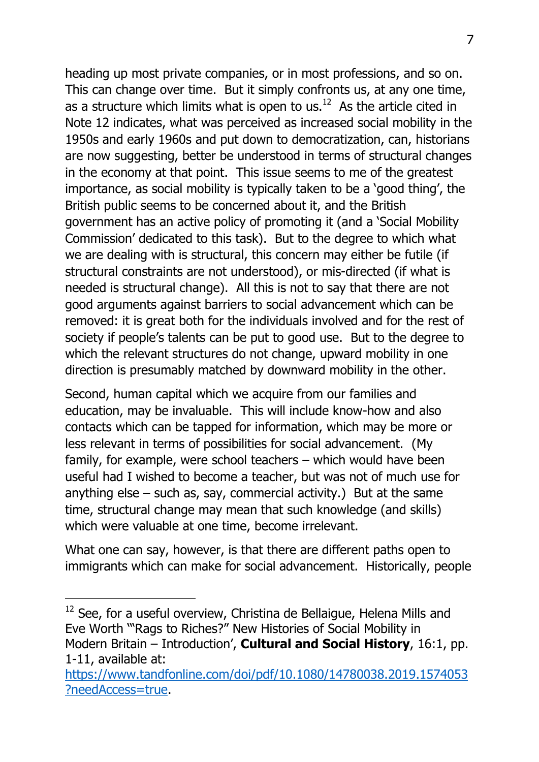heading up most private companies, or in most professions, and so on. This can change over time. But it simply confronts us, at any one time, as a structure which limits what is open to us. $^{12}$  As the article cited in Note 12 indicates, what was perceived as increased social mobility in the 1950s and early 1960s and put down to democratization, can, historians are now suggesting, better be understood in terms of structural changes in the economy at that point. This issue seems to me of the greatest importance, as social mobility is typically taken to be a 'good thing', the British public seems to be concerned about it, and the British government has an active policy of promoting it (and a 'Social Mobility Commission' dedicated to this task). But to the degree to which what we are dealing with is structural, this concern may either be futile (if structural constraints are not understood), or mis-directed (if what is needed is structural change). All this is not to say that there are not good arguments against barriers to social advancement which can be removed: it is great both for the individuals involved and for the rest of society if people's talents can be put to good use. But to the degree to which the relevant structures do not change, upward mobility in one direction is presumably matched by downward mobility in the other.

Second, human capital which we acquire from our families and education, may be invaluable. This will include know-how and also contacts which can be tapped for information, which may be more or less relevant in terms of possibilities for social advancement. (My family, for example, were school teachers – which would have been useful had I wished to become a teacher, but was not of much use for anything else  $-$  such as, say, commercial activity.) But at the same time, structural change may mean that such knowledge (and skills) which were valuable at one time, become irrelevant.

What one can say, however, is that there are different paths open to immigrants which can make for social advancement. Historically, people

 $12$  See, for a useful overview, Christina de Bellaigue, Helena Mills and Eve Worth '"Rags to Riches?" New Histories of Social Mobility in Modern Britain – Introduction', **Cultural and Social History**, 16:1, pp. 1-11, available at:

[https://www.tandfonline.com/doi/pdf/10.1080/14780038.2019.1574053](https://www.tandfonline.com/doi/pdf/10.1080/14780038.2019.1574053?needAccess=true) [?needAccess=true.](https://www.tandfonline.com/doi/pdf/10.1080/14780038.2019.1574053?needAccess=true)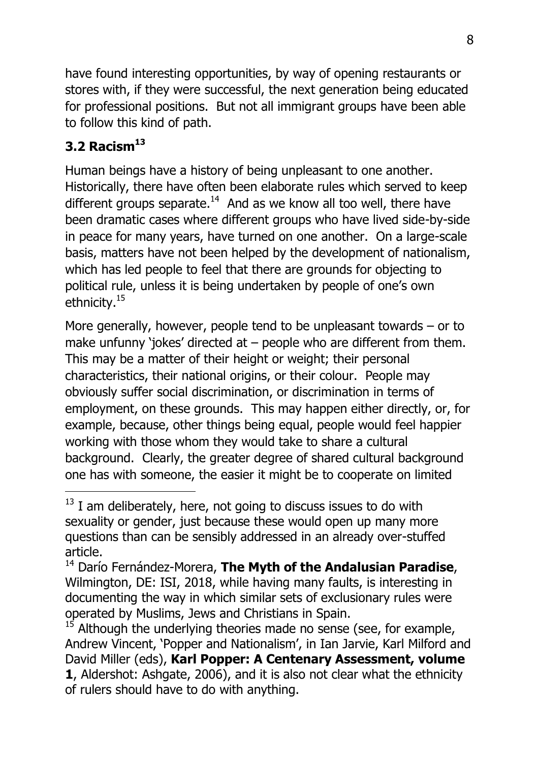have found interesting opportunities, by way of opening restaurants or stores with, if they were successful, the next generation being educated for professional positions. But not all immigrant groups have been able to follow this kind of path.

### **3.2 Racism<sup>13</sup>**

-

Human beings have a history of being unpleasant to one another. Historically, there have often been elaborate rules which served to keep different groups separate. $14$  And as we know all too well, there have been dramatic cases where different groups who have lived side-by-side in peace for many years, have turned on one another. On a large-scale basis, matters have not been helped by the development of nationalism, which has led people to feel that there are grounds for objecting to political rule, unless it is being undertaken by people of one's own ethnicity.<sup>15</sup>

More generally, however, people tend to be unpleasant towards – or to make unfunny 'jokes' directed at – people who are different from them. This may be a matter of their height or weight; their personal characteristics, their national origins, or their colour. People may obviously suffer social discrimination, or discrimination in terms of employment, on these grounds. This may happen either directly, or, for example, because, other things being equal, people would feel happier working with those whom they would take to share a cultural background. Clearly, the greater degree of shared cultural background one has with someone, the easier it might be to cooperate on limited

 $13$  I am deliberately, here, not going to discuss issues to do with sexuality or gender, just because these would open up many more questions than can be sensibly addressed in an already over-stuffed article.

<sup>14</sup> Darío Fernández-Morera, **The Myth of the Andalusian Paradise**, Wilmington, DE: ISI, 2018, while having many faults, is interesting in documenting the way in which similar sets of exclusionary rules were operated by Muslims, Jews and Christians in Spain.

 $15$  Although the underlying theories made no sense (see, for example, Andrew Vincent, 'Popper and Nationalism', in Ian Jarvie, Karl Milford and David Miller (eds), **Karl Popper: A Centenary Assessment, volume 1**, Aldershot: Ashgate, 2006), and it is also not clear what the ethnicity of rulers should have to do with anything.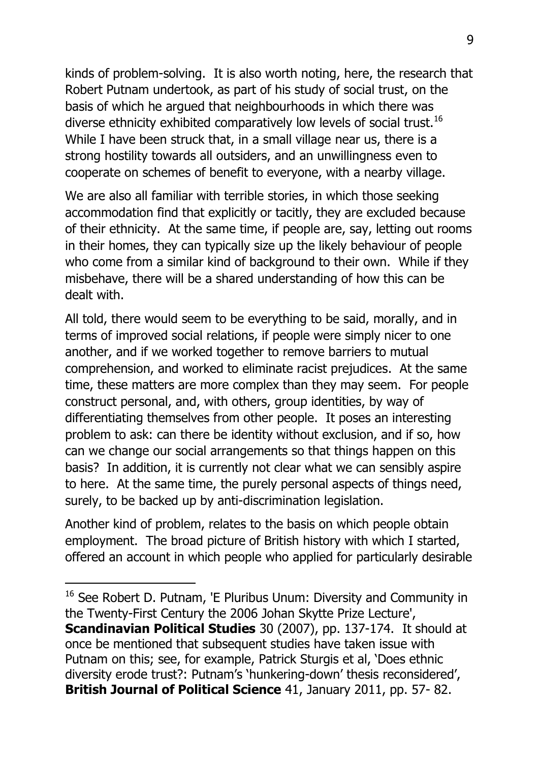kinds of problem-solving. It is also worth noting, here, the research that Robert Putnam undertook, as part of his study of social trust, on the basis of which he argued that neighbourhoods in which there was diverse ethnicity exhibited comparatively low levels of social trust.<sup>16</sup> While I have been struck that, in a small village near us, there is a strong hostility towards all outsiders, and an unwillingness even to cooperate on schemes of benefit to everyone, with a nearby village.

We are also all familiar with terrible stories, in which those seeking accommodation find that explicitly or tacitly, they are excluded because of their ethnicity. At the same time, if people are, say, letting out rooms in their homes, they can typically size up the likely behaviour of people who come from a similar kind of background to their own. While if they misbehave, there will be a shared understanding of how this can be dealt with.

All told, there would seem to be everything to be said, morally, and in terms of improved social relations, if people were simply nicer to one another, and if we worked together to remove barriers to mutual comprehension, and worked to eliminate racist prejudices. At the same time, these matters are more complex than they may seem. For people construct personal, and, with others, group identities, by way of differentiating themselves from other people. It poses an interesting problem to ask: can there be identity without exclusion, and if so, how can we change our social arrangements so that things happen on this basis? In addition, it is currently not clear what we can sensibly aspire to here. At the same time, the purely personal aspects of things need, surely, to be backed up by anti-discrimination legislation.

Another kind of problem, relates to the basis on which people obtain employment. The broad picture of British history with which I started, offered an account in which people who applied for particularly desirable

<sup>&</sup>lt;sup>16</sup> See Robert D. Putnam, 'E Pluribus Unum: Diversity and Community in the Twenty-First Century the 2006 Johan Skytte Prize Lecture', **Scandinavian Political Studies** 30 (2007), pp. 137-174. It should at once be mentioned that subsequent studies have taken issue with Putnam on this; see, for example, Patrick Sturgis et al, 'Does ethnic diversity erode trust?: Putnam's 'hunkering-down' thesis reconsidered', **British Journal of Political Science** 41, January 2011, pp. 57- 82.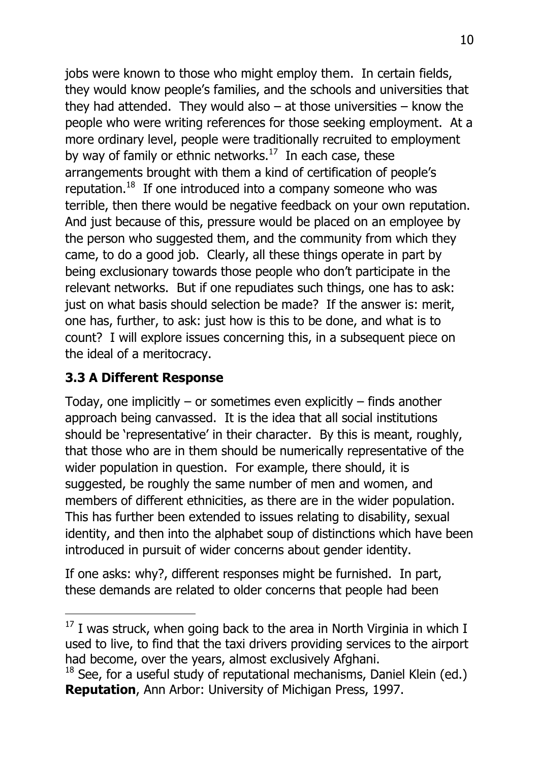jobs were known to those who might employ them. In certain fields, they would know people's families, and the schools and universities that they had attended. They would also  $-$  at those universities  $-$  know the people who were writing references for those seeking employment. At a more ordinary level, people were traditionally recruited to employment by way of family or ethnic networks. $17$  In each case, these arrangements brought with them a kind of certification of people's reputation. $18$  If one introduced into a company someone who was terrible, then there would be negative feedback on your own reputation. And just because of this, pressure would be placed on an employee by the person who suggested them, and the community from which they came, to do a good job. Clearly, all these things operate in part by being exclusionary towards those people who don't participate in the relevant networks. But if one repudiates such things, one has to ask: just on what basis should selection be made? If the answer is: merit, one has, further, to ask: just how is this to be done, and what is to count? I will explore issues concerning this, in a subsequent piece on the ideal of a meritocracy.

# **3.3 A Different Response**

-

Today, one implicitly  $-$  or sometimes even explicitly  $-$  finds another approach being canvassed. It is the idea that all social institutions should be 'representative' in their character. By this is meant, roughly, that those who are in them should be numerically representative of the wider population in question. For example, there should, it is suggested, be roughly the same number of men and women, and members of different ethnicities, as there are in the wider population. This has further been extended to issues relating to disability, sexual identity, and then into the alphabet soup of distinctions which have been introduced in pursuit of wider concerns about gender identity.

If one asks: why?, different responses might be furnished. In part, these demands are related to older concerns that people had been

 $17$  I was struck, when going back to the area in North Virginia in which I used to live, to find that the taxi drivers providing services to the airport had become, over the years, almost exclusively Afghani.

 $18$  See, for a useful study of reputational mechanisms, Daniel Klein (ed.) **Reputation**, Ann Arbor: University of Michigan Press, 1997.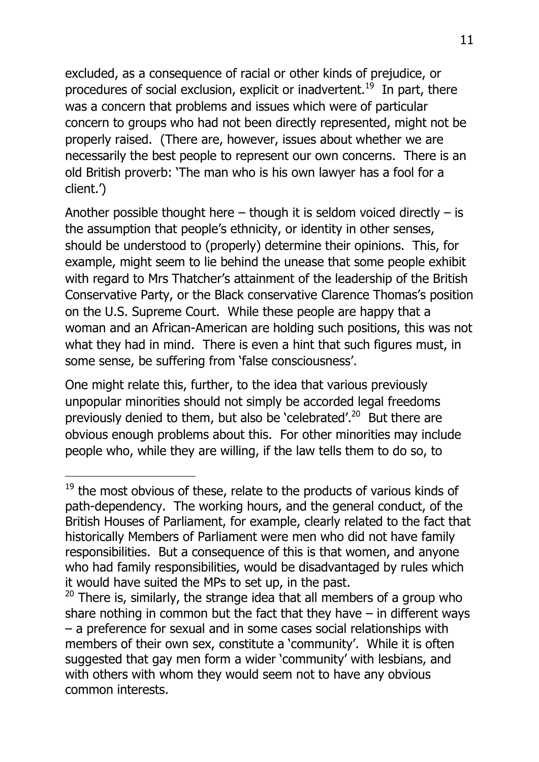excluded, as a consequence of racial or other kinds of prejudice, or procedures of social exclusion, explicit or inadvertent.<sup>19</sup> In part, there was a concern that problems and issues which were of particular concern to groups who had not been directly represented, might not be properly raised. (There are, however, issues about whether we are necessarily the best people to represent our own concerns. There is an old British proverb: 'The man who is his own lawyer has a fool for a client.')

Another possible thought here  $-$  though it is seldom voiced directly  $-$  is the assumption that people's ethnicity, or identity in other senses, should be understood to (properly) determine their opinions. This, for example, might seem to lie behind the unease that some people exhibit with regard to Mrs Thatcher's attainment of the leadership of the British Conservative Party, or the Black conservative Clarence Thomas's position on the U.S. Supreme Court. While these people are happy that a woman and an African-American are holding such positions, this was not what they had in mind. There is even a hint that such figures must, in some sense, be suffering from 'false consciousness'.

One might relate this, further, to the idea that various previously unpopular minorities should not simply be accorded legal freedoms previously denied to them, but also be 'celebrated'.<sup>20</sup> But there are obvious enough problems about this. For other minorities may include people who, while they are willing, if the law tells them to do so, to

 $19$  the most obvious of these, relate to the products of various kinds of path-dependency. The working hours, and the general conduct, of the British Houses of Parliament, for example, clearly related to the fact that historically Members of Parliament were men who did not have family responsibilities. But a consequence of this is that women, and anyone who had family responsibilities, would be disadvantaged by rules which it would have suited the MPs to set up, in the past.

 $20$  There is, similarly, the strange idea that all members of a group who share nothing in common but the fact that they have  $-$  in different ways – a preference for sexual and in some cases social relationships with members of their own sex, constitute a 'community'. While it is often suggested that gay men form a wider 'community' with lesbians, and with others with whom they would seem not to have any obvious common interests.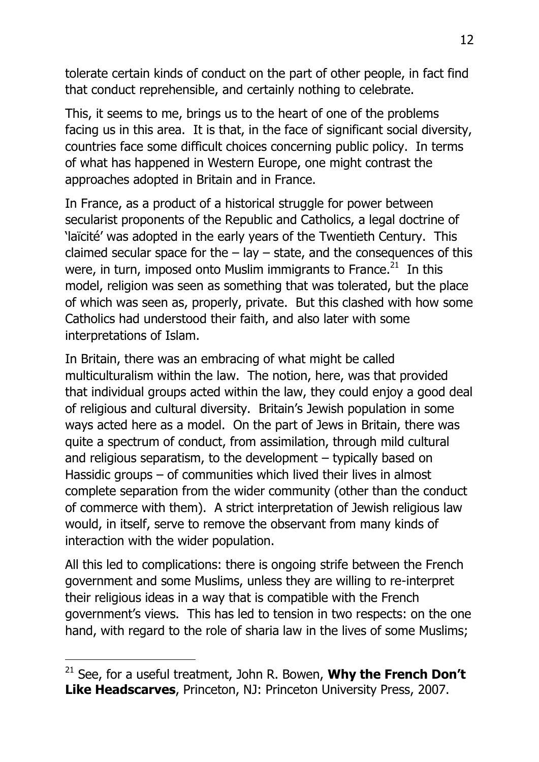tolerate certain kinds of conduct on the part of other people, in fact find that conduct reprehensible, and certainly nothing to celebrate.

This, it seems to me, brings us to the heart of one of the problems facing us in this area. It is that, in the face of significant social diversity, countries face some difficult choices concerning public policy. In terms of what has happened in Western Europe, one might contrast the approaches adopted in Britain and in France.

In France, as a product of a historical struggle for power between secularist proponents of the Republic and Catholics, a legal doctrine of 'laïcité' was adopted in the early years of the Twentieth Century. This claimed secular space for the  $-$  lay  $-$  state, and the consequences of this were, in turn, imposed onto Muslim immigrants to France. $^{21}$  In this model, religion was seen as something that was tolerated, but the place of which was seen as, properly, private. But this clashed with how some Catholics had understood their faith, and also later with some interpretations of Islam.

In Britain, there was an embracing of what might be called multiculturalism within the law. The notion, here, was that provided that individual groups acted within the law, they could enjoy a good deal of religious and cultural diversity. Britain's Jewish population in some ways acted here as a model. On the part of Jews in Britain, there was quite a spectrum of conduct, from assimilation, through mild cultural and religious separatism, to the development – typically based on Hassidic groups – of communities which lived their lives in almost complete separation from the wider community (other than the conduct of commerce with them). A strict interpretation of Jewish religious law would, in itself, serve to remove the observant from many kinds of interaction with the wider population.

All this led to complications: there is ongoing strife between the French government and some Muslims, unless they are willing to re-interpret their religious ideas in a way that is compatible with the French government's views. This has led to tension in two respects: on the one hand, with regard to the role of sharia law in the lives of some Muslims;

<sup>21</sup> See, for a useful treatment, John R. Bowen, **Why the French Don't Like Headscarves**, Princeton, NJ: Princeton University Press, 2007.